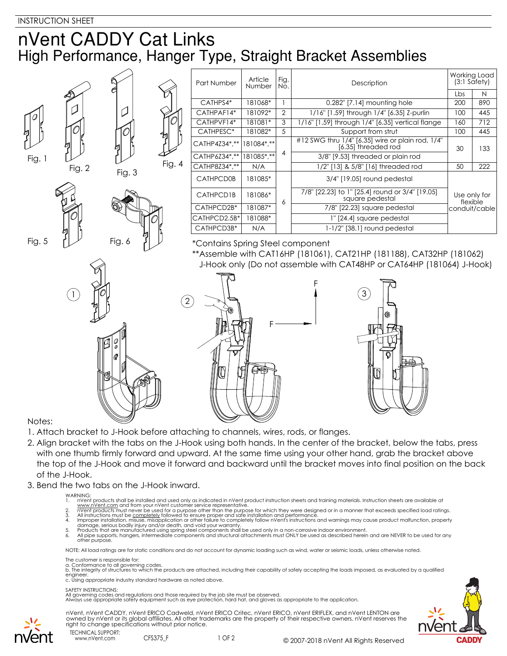## nVent CADDY Cat Links High Performance, Hanger Type, Straight Bracket Assemblies

|        |                                                                                                                    |        |        | Part Number                                                           | Article<br>Number | Fig.<br>No. | Description                                                             | Working Load<br>$(3:1$ Safety)            |     |
|--------|--------------------------------------------------------------------------------------------------------------------|--------|--------|-----------------------------------------------------------------------|-------------------|-------------|-------------------------------------------------------------------------|-------------------------------------------|-----|
|        |                                                                                                                    |        |        |                                                                       |                   |             |                                                                         | Lbs                                       | N   |
|        |                                                                                                                    |        |        | CATHPS4*                                                              | 181068*           |             | 0.282" [7.14] mounting hole                                             | 200                                       | 890 |
|        |                                                                                                                    |        |        | CATHPAF14*                                                            | 181092*           | 2           | 1/16" [1.59] through 1/4" [6.35] Z-purlin                               | 100                                       | 445 |
|        |                                                                                                                    |        |        | CATHPVF14*                                                            | 181081*           | 3           | 1/16" [1.59] through 1/4" [6.35] vertical flange                        | 160                                       | 712 |
|        |                                                                                                                    |        |        | CATHPESC*                                                             | 181082*           | 5           | Support from strut                                                      | 100                                       | 445 |
|        |                                                                                                                    |        |        | CATHP4Z34*,**                                                         | 181084*,**        |             | #12 SWG thru 1/4" [6.35] wire or plain rod, 1/4"<br>[6.35] threaded rod | 30                                        | 133 |
| Fig. 1 |                                                                                                                    |        |        | CATHP6Z34*,**                                                         | 181085*,**        | 4           | 3/8" [9.53] threaded or plain rod                                       |                                           |     |
|        | Fig. 2                                                                                                             |        | Fig. 4 | CATHP8Z34*,**                                                         | N/A               |             | 1/2" [13] & 5/8" [16] threaded rod                                      | 50                                        | 222 |
|        |                                                                                                                    | Fig. 3 |        | <b>CATHPCD0B</b>                                                      | 181085*           |             | 3/4" [19.05] round pedestal                                             |                                           |     |
|        |                                                                                                                    |        |        | CATHPCD1B                                                             | 181086*           | 6           | 7/8" [22.23] to 1" [25.4] round or 3/4" [19.05]<br>square pedestal      | Use only for<br>flexible<br>conduit/cable |     |
|        |                                                                                                                    |        |        | CATHPCD2B*                                                            | 181087*           |             | 7/8" [22.23] square pedestal                                            |                                           |     |
|        |                                                                                                                    |        |        | CATHPCD2.5B*                                                          | 181088*           |             | 1" [24.4] square pedestal                                               |                                           |     |
|        |                                                                                                                    |        |        | CATHPCD3B*                                                            | N/A               |             | 1-1/2" [38.1] round pedestal                                            |                                           |     |
| Fig. 5 | Fig. 6<br>*Contains Spring Steel component<br>**Assemble with CAT16HP (181061), CAT21HP (181188), CAT32HP (181062) |        |        |                                                                       |                   |             |                                                                         |                                           |     |
|        |                                                                                                                    |        |        | J-Hook only (Do not assemble with CAT48HP or CAT64HP (181064) J-Hook) |                   |             |                                                                         |                                           |     |
|        |                                                                                                                    |        |        |                                                                       |                   |             | $\left(3\right)$<br>O                                                   |                                           |     |
|        |                                                                                                                    |        |        |                                                                       |                   |             |                                                                         |                                           |     |

Notes:

- 1. Attach bracket to J-Hook before attaching to channels, wires, rods, or flanges.
- 2. Align bracket with the tabs on the J-Hook using both hands. In the center of the bracket, below the tabs, press with one thumb firmly forward and upward. At the same time using your other hand, grab the bracket above the top of the J-Hook and move it forward and backward until the bracket moves into final position on the back of the J-Hook.
- 3. Bend the two tabs on the J-Hook inward.

- WARNING:<br>1. nVent products shall be installed and used only as indicated in nVent product instruction sheets and training materials. Instruction sheets are available at
- 
- 
- 
- www.nVent.com and from your nVent customer service representative.<br>2. InVent products must never be used for a purpose of the fann the purpose for which they were designed or in a manner that exceeds specified load ratings

NOTE: All load ratings are for static conditions and do not account for dynamic loading such as wind, water or seismic loads, unless otherwise noted.

The customer is responsible for:

a. Conformance to all governing codes.<br>b. The integrity of structures to which the products are attached, including their capability of safely accepting the loads imposed, as evaluated by a qualified engineer. c. Using appropriate industry standard hardware as noted above.

## SAFETY INSTRUCTIONS:

All governing codes and regulations and those required by the job site must be observed. Always use appropriate safety equipment such as eye protection, hard hat, and gloves as appropriate to the application.



nVent, nVent CADDY, nVent ERICO Cadweld, nVent ERICO Critec, nVent ERICO, nVent ERIFLEX, and nVent LENTON are owned by nVent or its global affiliates. All other trademarks are the property of their respective owners. nVent reserves the right to change specifications without prior notice.

TECHNICAL SUPPORT: www.nVent.com CFS375 F